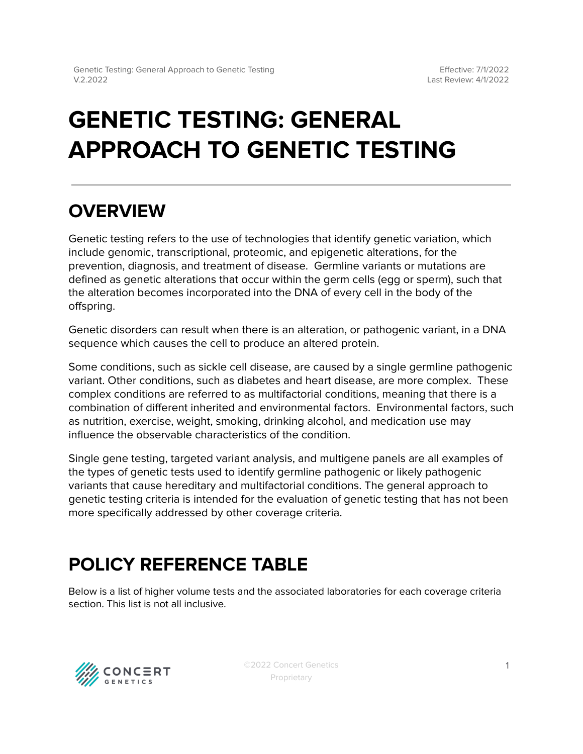# **GENETIC TESTING: GENERAL APPROACH TO GENETIC TESTING**

### **OVERVIEW**

Genetic testing refers to the use of technologies that identify genetic variation, which include genomic, transcriptional, proteomic, and epigenetic alterations, for the prevention, diagnosis, and treatment of disease. Germline variants or mutations are defined as genetic alterations that occur within the germ cells (egg or sperm), such that the alteration becomes incorporated into the DNA of every cell in the body of the offspring.

Genetic disorders can result when there is an alteration, or pathogenic variant, in a DNA sequence which causes the cell to produce an altered protein.

Some conditions, such as sickle cell disease, are caused by a single germline pathogenic variant. Other conditions, such as diabetes and heart disease, are more complex. These complex conditions are referred to as multifactorial conditions, meaning that there is a combination of different inherited and environmental factors. Environmental factors, such as nutrition, exercise, weight, smoking, drinking alcohol, and medication use may influence the observable characteristics of the condition.

Single gene testing, targeted variant analysis, and multigene panels are all examples of the types of genetic tests used to identify germline pathogenic or likely pathogenic variants that cause hereditary and multifactorial conditions. The general approach to genetic testing criteria is intended for the evaluation of genetic testing that has not been more specifically addressed by other coverage criteria.

## <span id="page-0-0"></span>**POLICY REFERENCE TABLE**

Below is a list of higher volume tests and the associated laboratories for each coverage criteria section. This list is not all inclusive.

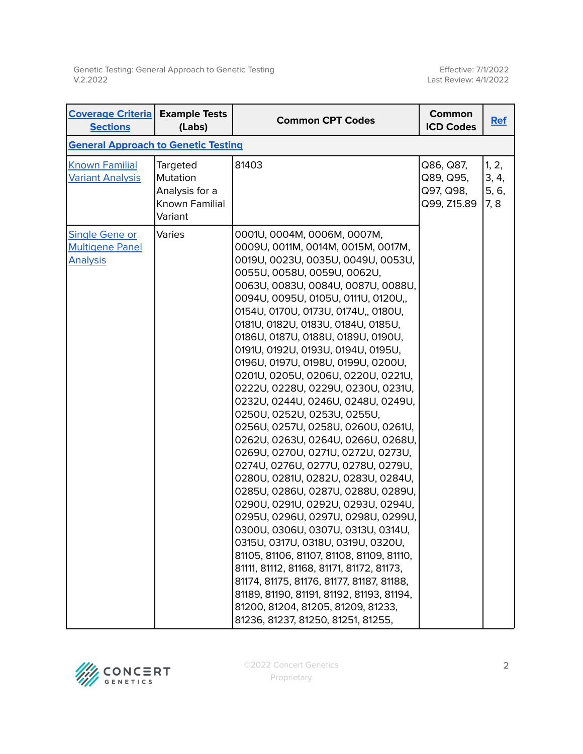Effective: 7/1/2022 Last Review: 4/1/2022

| <b>Coverage Criteria</b><br><b>Sections</b>                        | <b>Example Tests</b><br>(Labs)                                      | <b>Common CPT Codes</b>                                                                                                                                                                                                                                                                                                                                                                                                                                                                                                                                                                                                                                                                                                                                                                                                                                                                                                                                                                                                                                                                                                                                                                                                         | Common<br><b>ICD Codes</b>                         | <b>Ref</b>                      |
|--------------------------------------------------------------------|---------------------------------------------------------------------|---------------------------------------------------------------------------------------------------------------------------------------------------------------------------------------------------------------------------------------------------------------------------------------------------------------------------------------------------------------------------------------------------------------------------------------------------------------------------------------------------------------------------------------------------------------------------------------------------------------------------------------------------------------------------------------------------------------------------------------------------------------------------------------------------------------------------------------------------------------------------------------------------------------------------------------------------------------------------------------------------------------------------------------------------------------------------------------------------------------------------------------------------------------------------------------------------------------------------------|----------------------------------------------------|---------------------------------|
| <b>General Approach to Genetic Testing</b>                         |                                                                     |                                                                                                                                                                                                                                                                                                                                                                                                                                                                                                                                                                                                                                                                                                                                                                                                                                                                                                                                                                                                                                                                                                                                                                                                                                 |                                                    |                                 |
| <b>Known Familial</b><br><b>Variant Analysis</b>                   | Targeted<br>Mutation<br>Analysis for a<br>Known Familial<br>Variant | 81403                                                                                                                                                                                                                                                                                                                                                                                                                                                                                                                                                                                                                                                                                                                                                                                                                                                                                                                                                                                                                                                                                                                                                                                                                           | Q86, Q87,<br>Q89, Q95,<br>Q97, Q98,<br>Q99, Z15.89 | 1, 2,<br>3, 4,<br>5, 6,<br>7, 8 |
| <b>Single Gene or</b><br><b>Multigene Panel</b><br><b>Analysis</b> | Varies                                                              | 0001U, 0004M, 0006M, 0007M,<br>0009U, 0011M, 0014M, 0015M, 0017M,<br>0019U, 0023U, 0035U, 0049U, 0053U,<br>0055U, 0058U, 0059U, 0062U,<br>0063U, 0083U, 0084U, 0087U, 0088U,<br>0094U, 0095U, 0105U, 0111U, 0120U,,<br>0154U, 0170U, 0173U, 0174U,, 0180U,<br>0181U, 0182U, 0183U, 0184U, 0185U,<br>0186U, 0187U, 0188U, 0189U, 0190U,<br>0191U, 0192U, 0193U, 0194U, 0195U,<br>0196U, 0197U, 0198U, 0199U, 0200U,<br>0201U, 0205U, 0206U, 0220U, 0221U,<br>0222U, 0228U, 0229U, 0230U, 0231U,<br>0232U, 0244U, 0246U, 0248U, 0249U,<br>0250U, 0252U, 0253U, 0255U,<br>0256U, 0257U, 0258U, 0260U, 0261U,<br>0262U, 0263U, 0264U, 0266U, 0268U,<br>0269U, 0270U, 0271U, 0272U, 0273U,<br>0274U, 0276U, 0277U, 0278U, 0279U,<br>0280U, 0281U, 0282U, 0283U, 0284U,<br>0285U, 0286U, 0287U, 0288U, 0289U,<br>0290U, 0291U, 0292U, 0293U, 0294U,<br>0295U, 0296U, 0297U, 0298U, 0299U,<br>0300U, 0306U, 0307U, 0313U, 0314U,<br>0315U, 0317U, 0318U, 0319U, 0320U,<br>81105, 81106, 81107, 81108, 81109, 81110,<br>81111, 81112, 81168, 81171, 81172, 81173,<br>81174, 81175, 81176, 81177, 81187, 81188,<br>81189, 81190, 81191, 81192, 81193, 81194,<br>81200, 81204, 81205, 81209, 81233,<br>81236, 81237, 81250, 81251, 81255, |                                                    |                                 |

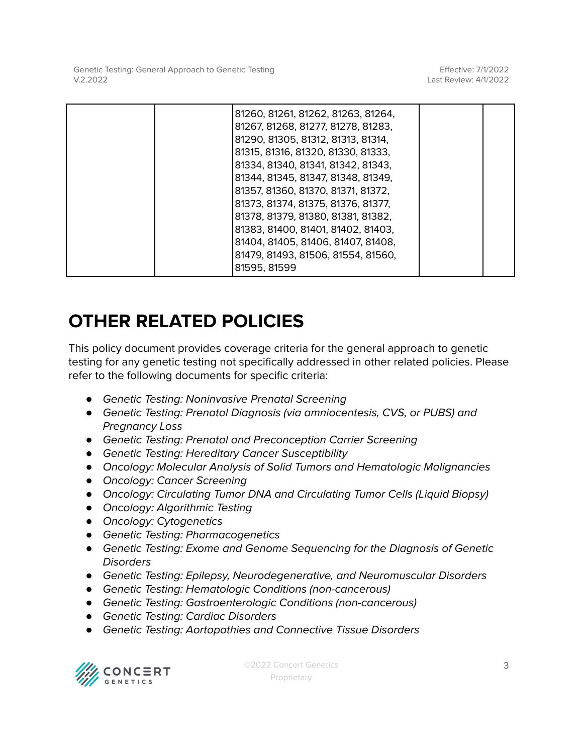Effective: 7/1/2022 Last Review: 4/1/2022

|  | 81260, 81261, 81262, 81263, 81264,<br>81267, 81268, 81277, 81278, 81283,<br>81290, 81305, 81312, 81313, 81314,<br>81315, 81316, 81320, 81330, 81333,<br>81334, 81340, 81341, 81342, 81343,<br>81344, 81345, 81347, 81348, 81349,<br>81357, 81360, 81370, 81371, 81372,<br>81373, 81374, 81375, 81376, 81377,<br>81378, 81379, 81380, 81381, 81382,<br>81383, 81400, 81401, 81402, 81403,<br>81404, 81405, 81406, 81407, 81408,<br>81479, 81493, 81506, 81554, 81560, |  |
|--|----------------------------------------------------------------------------------------------------------------------------------------------------------------------------------------------------------------------------------------------------------------------------------------------------------------------------------------------------------------------------------------------------------------------------------------------------------------------|--|
|  | 81595, 81599                                                                                                                                                                                                                                                                                                                                                                                                                                                         |  |

### **OTHER RELATED POLICIES**

This policy document provides coverage criteria for the general approach to genetic testing for any genetic testing not specifically addressed in other related policies. Please refer to the following documents for specific criteria:

- *●* Genetic Testing: Noninvasive Prenatal Screening
- *●* Genetic Testing: Prenatal Diagnosis (via amniocentesis, CVS, or PUBS) and Pregnancy Loss
- *●* Genetic Testing: Prenatal and Preconception Carrier Screening
- *●* Genetic Testing: Hereditary Cancer Susceptibility
- *●* Oncology: Molecular Analysis of Solid Tumors and Hematologic Malignancies
- *●* Oncology: Cancer Screening
- *●* Oncology: Circulating Tumor DNA and Circulating Tumor Cells (Liquid Biopsy)
- *●* Oncology: Algorithmic Testing
- *●* Oncology: Cytogenetics
- *●* Genetic Testing: Pharmacogenetics
- *●* Genetic Testing: Exome and Genome Sequencing for the Diagnosis of Genetic **Disorders**
- *●* Genetic Testing: Epilepsy, Neurodegenerative, and Neuromuscular Disorders
- *●* Genetic Testing: Hematologic Conditions (non-cancerous)
- *●* Genetic Testing: Gastroenterologic Conditions (non-cancerous)
- *●* Genetic Testing: Cardiac Disorders
- *●* Genetic Testing: Aortopathies and Connective Tissue Disorders

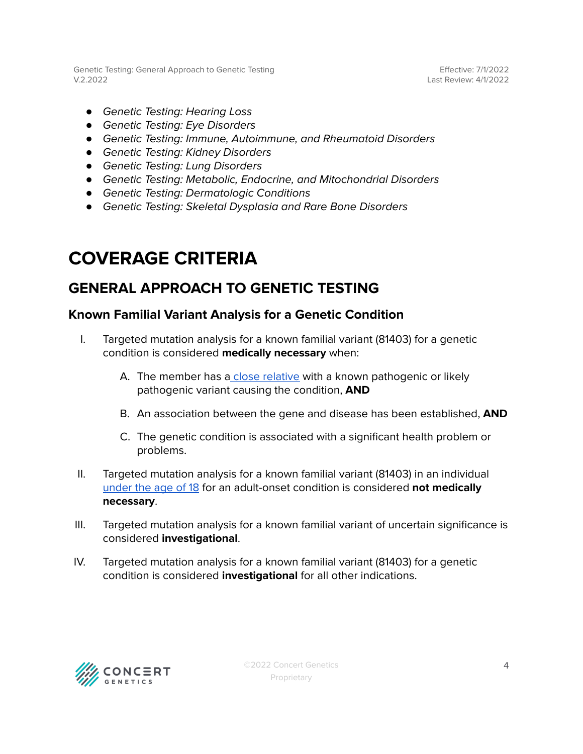Effective: 7/1/2022 Last Review: 4/1/2022

- *●* Genetic Testing: Hearing Loss
- *●* Genetic Testing: Eye Disorders
- *●* Genetic Testing: Immune, Autoimmune, and Rheumatoid Disorders
- *●* Genetic Testing: Kidney Disorders
- *●* Genetic Testing: Lung Disorders
- *●* Genetic Testing: Metabolic, Endocrine, and Mitochondrial Disorders
- *●* Genetic Testing: Dermatologic Conditions
- *●* Genetic Testing: Skeletal Dysplasia and Rare Bone Disorders

### <span id="page-3-0"></span>**COVERAGE CRITERIA**

#### <span id="page-3-1"></span>**GENERAL APPROACH TO GENETIC TESTING**

#### <span id="page-3-2"></span>**Known Familial Variant Analysis for a Genetic Condition**

- I. Targeted mutation analysis for a known familial variant (81403) for a genetic condition is considered **medically necessary** when:
	- A. The member has a close [relative](#page-5-0) with a known pathogenic or likely pathogenic variant causing the condition, **AND**
	- B. An association between the gene and disease has been established, **AND**
	- C. The genetic condition is associated with a significant health problem or problems.
- II. Targeted mutation analysis for a known familial variant (81403) in an individual [under](#page-5-0) the age of 18 for an adult-onset condition is considered **not medically necessary**.
- III. Targeted mutation analysis for a known familial variant of uncertain significance is considered **investigational**.
- IV. Targeted mutation analysis for a known familial variant (81403) for a genetic condition is considered **investigational** for all other indications.

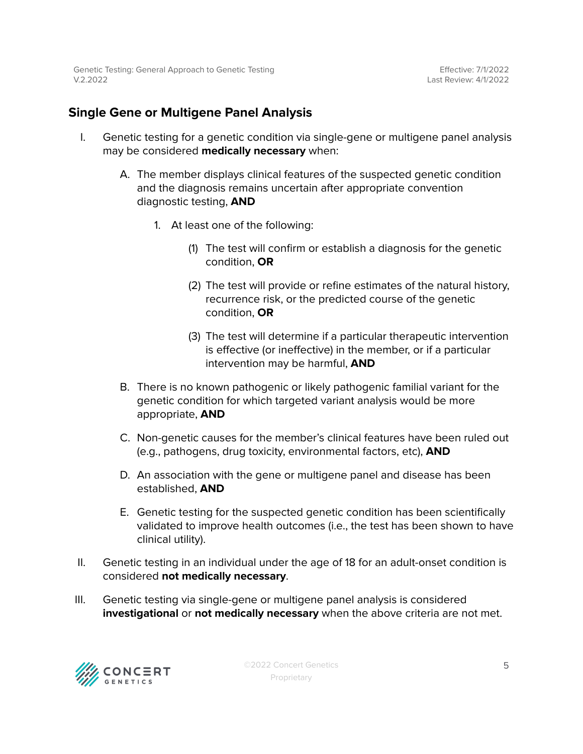#### <span id="page-4-0"></span>**Single Gene or Multigene Panel Analysis**

- I. Genetic testing for a genetic condition via single-gene or multigene panel analysis may be considered **medically necessary** when:
	- A. The member displays clinical features of the suspected genetic condition and the diagnosis remains uncertain after appropriate convention diagnostic testing, **AND**
		- 1. At least one of the following:
			- (1) The test will confirm or establish a diagnosis for the genetic condition, **OR**
			- (2) The test will provide or refine estimates of the natural history, recurrence risk, or the predicted course of the genetic condition, **OR**
			- (3) The test will determine if a particular therapeutic intervention is effective (or ineffective) in the member, or if a particular intervention may be harmful, **AND**
	- B. There is no known pathogenic or likely pathogenic familial variant for the genetic condition for which targeted variant analysis would be more appropriate, **AND**
	- C. Non-genetic causes for the member's clinical features have been ruled out (e.g., pathogens, drug toxicity, environmental factors, etc), **AND**
	- D. An association with the gene or multigene panel and disease has been established, **AND**
	- E. Genetic testing for the suspected genetic condition has been scientifically validated to improve health outcomes (i.e., the test has been shown to have clinical utility).
- II. Genetic testing in an individual under the age of 18 for an adult-onset condition is considered **not medically necessary**.
- III. Genetic testing via single-gene or multigene panel analysis is considered **investigational** or **not medically necessary** when the above criteria are not met.

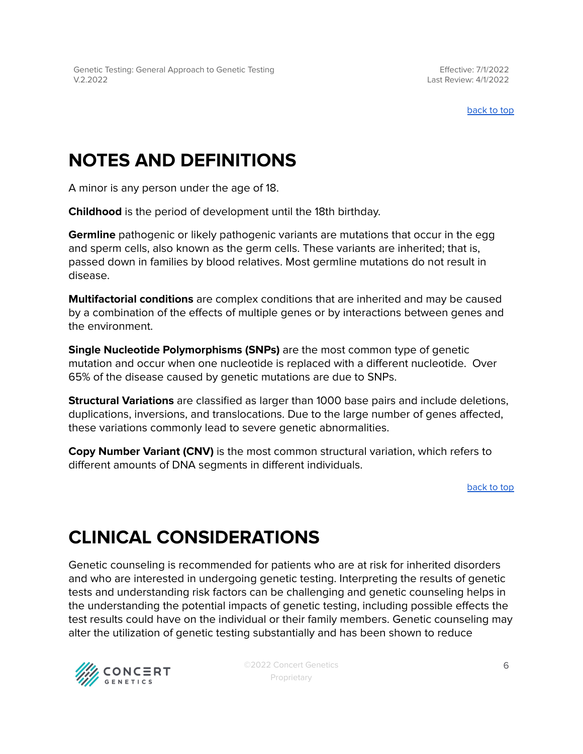[back](#page-0-0) to top

### <span id="page-5-0"></span>**NOTES AND DEFINITIONS**

A minor is any person under the age of 18.

**Childhood** is the period of development until the 18th birthday.

**Germline** pathogenic or likely pathogenic variants are mutations that occur in the egg and sperm cells, also known as the germ cells. These variants are inherited; that is, passed down in families by blood relatives. Most germline mutations do not result in disease.

**Multifactorial conditions** are complex conditions that are inherited and may be caused by a combination of the effects of multiple genes or by interactions between genes and the environment.

**Single Nucleotide Polymorphisms (SNPs)** are the most common type of genetic mutation and occur when one nucleotide is replaced with a different nucleotide. Over 65% of the disease caused by genetic mutations are due to SNPs.

**Structural Variations** are classified as larger than 1000 base pairs and include deletions, duplications, inversions, and translocations. Due to the large number of genes affected, these variations commonly lead to severe genetic abnormalities.

**Copy Number Variant (CNV)** is the most common structural variation, which refers to different amounts of DNA segments in different individuals.

[back](#page-0-0) to top

## **CLINICAL CONSIDERATIONS**

Genetic counseling is recommended for patients who are at risk for inherited disorders and who are interested in undergoing genetic testing. Interpreting the results of genetic tests and understanding risk factors can be challenging and genetic counseling helps in the understanding the potential impacts of genetic testing, including possible effects the test results could have on the individual or their family members. Genetic counseling may alter the utilization of genetic testing substantially and has been shown to reduce

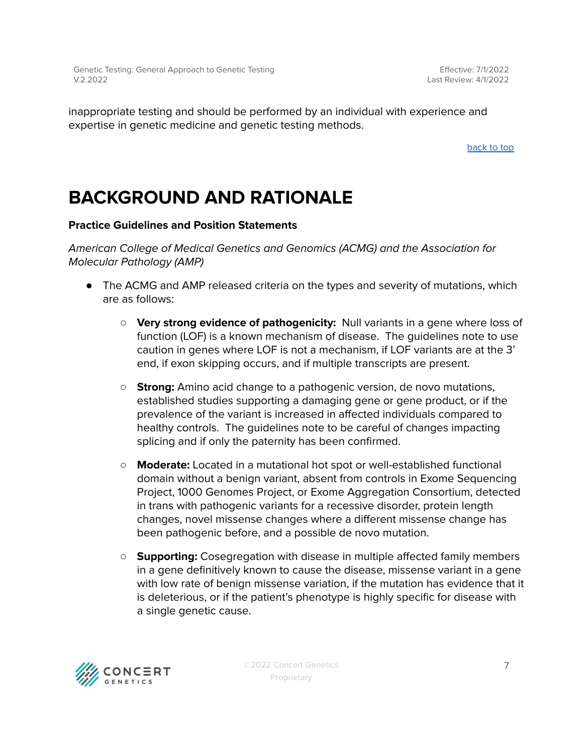inappropriate testing and should be performed by an individual with experience and expertise in genetic medicine and genetic testing methods.

[back](#page-0-0) to top

### **BACKGROUND AND RATIONALE**

#### **Practice Guidelines and Position Statements**

American College of Medical Genetics and Genomics (ACMG) and the Association for Molecular Pathology (AMP)

- The ACMG and AMP released criteria on the types and severity of mutations, which are as follows:
	- **Very strong evidence of pathogenicity:** Null variants in a gene where loss of function (LOF) is a known mechanism of disease. The guidelines note to use caution in genes where LOF is not a mechanism, if LOF variants are at the 3' end, if exon skipping occurs, and if multiple transcripts are present.
	- **○ Strong:** Amino acid change to a pathogenic version, de novo mutations, established studies supporting a damaging gene or gene product, or if the prevalence of the variant is increased in affected individuals compared to healthy controls. The guidelines note to be careful of changes impacting splicing and if only the paternity has been confirmed.
	- **○ Moderate:** Located in a mutational hot spot or well-established functional domain without a benign variant, absent from controls in Exome Sequencing Project, 1000 Genomes Project, or Exome Aggregation Consortium, detected in trans with pathogenic variants for a recessive disorder, protein length changes, novel missense changes where a different missense change has been pathogenic before, and a possible de novo mutation.
	- **○ Supporting:** Cosegregation with disease in multiple affected family members in a gene definitively known to cause the disease, missense variant in a gene with low rate of benign missense variation, if the mutation has evidence that it is deleterious, or if the patient's phenotype is highly specific for disease with a single genetic cause.

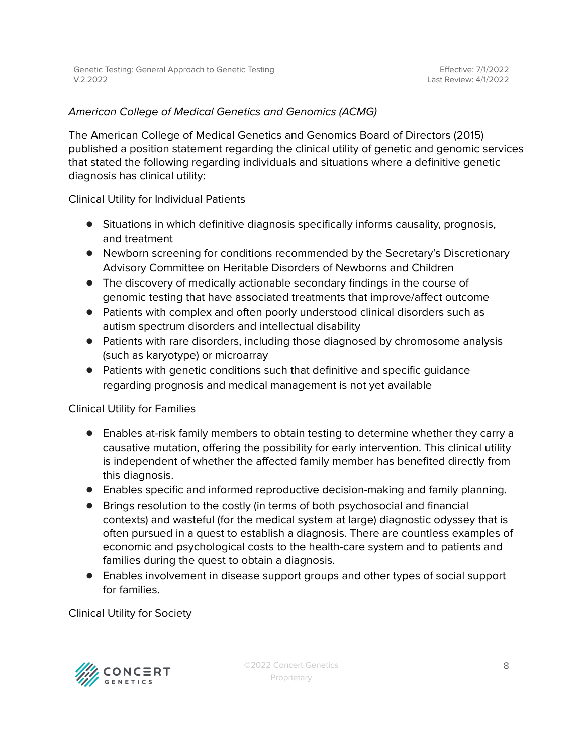#### American College of Medical Genetics and Genomics (ACMG)

The American College of Medical Genetics and Genomics Board of Directors (2015) published a position statement regarding the clinical utility of genetic and genomic services that stated the following regarding individuals and situations where a definitive genetic diagnosis has clinical utility:

Clinical Utility for Individual Patients

- Situations in which definitive diagnosis specifically informs causality, prognosis, and treatment
- Newborn screening for conditions recommended by the Secretary's Discretionary Advisory Committee on Heritable Disorders of Newborns and Children
- The discovery of medically actionable secondary findings in the course of genomic testing that have associated treatments that improve/affect outcome
- Patients with complex and often poorly understood clinical disorders such as autism spectrum disorders and intellectual disability
- Patients with rare disorders, including those diagnosed by chromosome analysis (such as karyotype) or microarray
- Patients with genetic conditions such that definitive and specific guidance regarding prognosis and medical management is not yet available

Clinical Utility for Families

- Enables at-risk family members to obtain testing to determine whether they carry a causative mutation, offering the possibility for early intervention. This clinical utility is independent of whether the affected family member has benefited directly from this diagnosis.
- Enables specific and informed reproductive decision-making and family planning.
- Brings resolution to the costly (in terms of both psychosocial and financial contexts) and wasteful (for the medical system at large) diagnostic odyssey that is often pursued in a quest to establish a diagnosis. There are countless examples of economic and psychological costs to the health-care system and to patients and families during the quest to obtain a diagnosis.
- Enables involvement in disease support groups and other types of social support for families.

Clinical Utility for Society

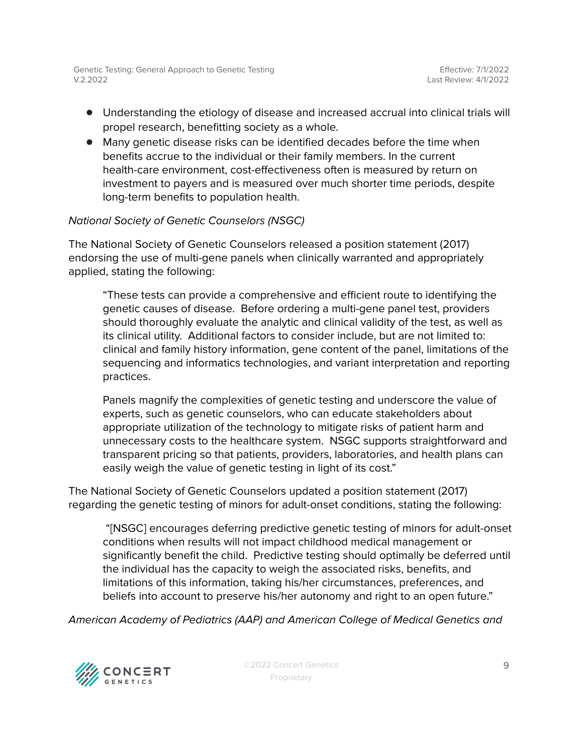- Understanding the etiology of disease and increased accrual into clinical trials will propel research, benefitting society as a whole.
- Many genetic disease risks can be identified decades before the time when benefits accrue to the individual or their family members. In the current health-care environment, cost-effectiveness often is measured by return on investment to payers and is measured over much shorter time periods, despite long-term benefits to population health.

#### National Society of Genetic Counselors (NSGC)

The National Society of Genetic Counselors released a position statement (2017) endorsing the use of multi-gene panels when clinically warranted and appropriately applied, stating the following:

"These tests can provide a comprehensive and efficient route to identifying the genetic causes of disease. Before ordering a multi-gene panel test, providers should thoroughly evaluate the analytic and clinical validity of the test, as well as its clinical utility. Additional factors to consider include, but are not limited to: clinical and family history information, gene content of the panel, limitations of the sequencing and informatics technologies, and variant interpretation and reporting practices.

Panels magnify the complexities of genetic testing and underscore the value of experts, such as genetic counselors, who can educate stakeholders about appropriate utilization of the technology to mitigate risks of patient harm and unnecessary costs to the healthcare system. NSGC supports straightforward and transparent pricing so that patients, providers, laboratories, and health plans can easily weigh the value of genetic testing in light of its cost."

The National Society of Genetic Counselors updated a position statement (2017) regarding the genetic testing of minors for adult-onset conditions, stating the following:

"[NSGC] encourages deferring predictive genetic testing of minors for adult-onset conditions when results will not impact childhood medical management or significantly benefit the child. Predictive testing should optimally be deferred until the individual has the capacity to weigh the associated risks, benefits, and limitations of this information, taking his/her circumstances, preferences, and beliefs into account to preserve his/her autonomy and right to an open future."

American Academy of Pediatrics (AAP) and American College of Medical Genetics and

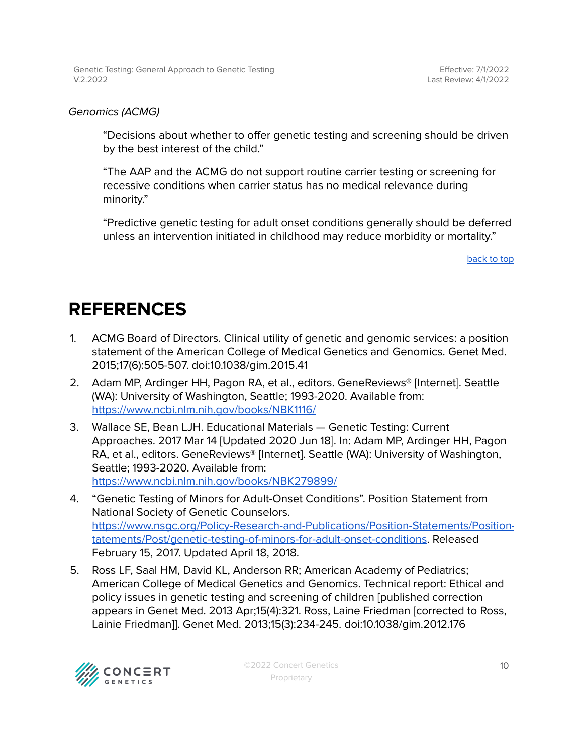Effective: 7/1/2022 Last Review: 4/1/2022

#### Genomics (ACMG)

"Decisions about whether to offer genetic testing and screening should be driven by the best interest of the child."

"The AAP and the ACMG do not support routine carrier testing or screening for recessive conditions when carrier status has no medical relevance during minority."

"Predictive genetic testing for adult onset conditions generally should be deferred unless an intervention initiated in childhood may reduce morbidity or mortality."

[back](#page-0-0) to top

#### <span id="page-9-0"></span>**REFERENCES**

- 1. ACMG Board of Directors. Clinical utility of genetic and genomic services: a position statement of the American College of Medical Genetics and Genomics. Genet Med. 2015;17(6):505-507. doi:10.1038/gim.2015.41
- 2. Adam MP, Ardinger HH, Pagon RA, et al., editors. GeneReviews® [Internet]. Seattle (WA): University of Washington, Seattle; 1993-2020. Available from: <https://www.ncbi.nlm.nih.gov/books/NBK1116/>
- 3. Wallace SE, Bean LJH. Educational Materials Genetic Testing: Current Approaches. 2017 Mar 14 [Updated 2020 Jun 18]. In: Adam MP, Ardinger HH, Pagon RA, et al., editors. GeneReviews® [Internet]. Seattle (WA): University of Washington, Seattle; 1993-2020. Available from: <https://www.ncbi.nlm.nih.gov/books/NBK279899/>
- 4. "Genetic Testing of Minors for Adult-Onset Conditions". Position Statement from National Society of Genetic Counselors. [https://www.nsgc.org/Policy-Research-and-Publications/Position-Statements/Position](https://www.nsgc.org/Policy-Research-and-Publications/Position-Statements/Position-Statements/Post/genetic-testing-of-minors-for-adult-onset-conditions)[tatements/Post/genetic-testing-of-minors-for-adult-onset-conditions.](https://www.nsgc.org/Policy-Research-and-Publications/Position-Statements/Position-Statements/Post/genetic-testing-of-minors-for-adult-onset-conditions) Released February 15, 2017. Updated April 18, 2018.
- 5. Ross LF, Saal HM, David KL, Anderson RR; American Academy of Pediatrics; American College of Medical Genetics and Genomics. Technical report: Ethical and policy issues in genetic testing and screening of children [published correction appears in Genet Med. 2013 Apr;15(4):321. Ross, Laine Friedman [corrected to Ross, Lainie Friedman]]. Genet Med. 2013;15(3):234-245. doi:10.1038/gim.2012.176